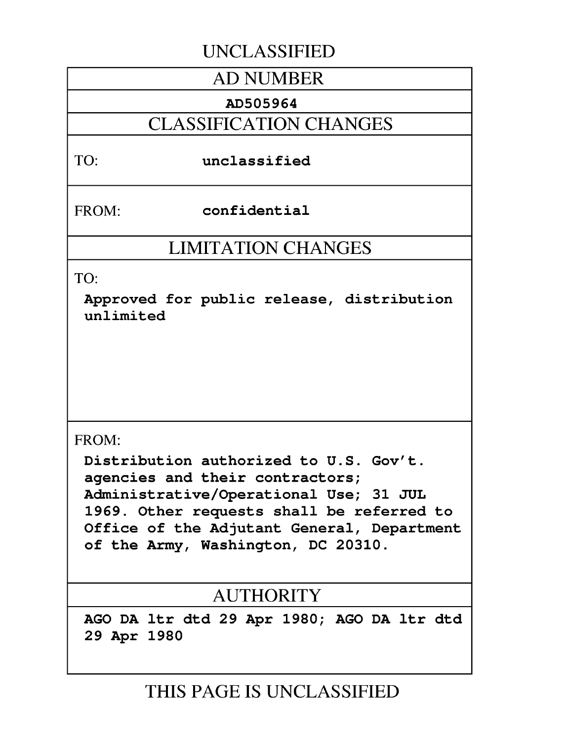## **UNCLASSIFIED**

## **AD NUMBER**

#### **AD505964**

## **CLASSIFICATION CHANGES**

#### TO: unclassified

FROM: confidential

## **LIMITATION CHANGES**

TO:

Approved for public release, distribution unlimited

#### FROM:

Distribution authorized to **U.S.** Gov't. agencies and their contractors; Administrative/Operational Use; **31 JUL 1969.** Other requests shall be referred to Office of the Adjutant General, Department of the Army, Washington, **DC 20310.**

# AUTHORITY

**AGO DA** ltr dtd **29** Apr **1980; AGO DA** ltr dtd **29** Apr **1980**

**THIS PAGE IS UNCLASSIFIED**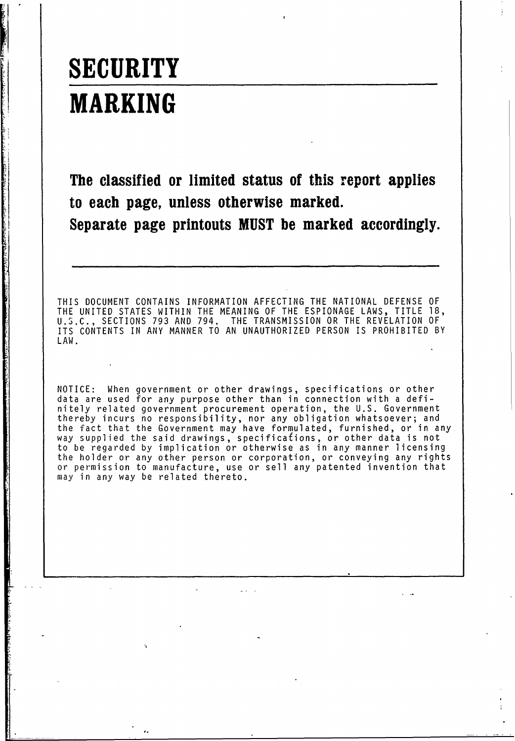# **SECURITY MARKING**

**The classified or limited status of this report applies to each page, unless otherwise marked. Separate page printouts MUST be marked accordingly.**

THIS DOCUMENT CONTAINS INFORMATION AFFECTING THE NATIONAL DEFENSE OF THE UNITED STATES WITHIN THE MEANING OF THE ESPIONAGE LAWS, TITLE 18, U.S.C., SECTIONS 793 AND 794. THE TRANSMISSION OR THE REVELATION OF ITS CONTENTS IN ANY MANNER TO AN UNAUTHORIZED PERSON IS PROHIBITED BY LAW.

NOTICE: When government or other drawings, specifications or other data are used for any purpose other than in connection with a definitely related government procurement operation, the U.S. Government thereby incurs no responsibility, nor any obligation whatsoever; and the fact that the Government may have formulated, furnished, or in any way supplied the said drawings, specifications, or other data is not to be regarded by implication or otherwise as in any manner licensing the holder or any other person or corporation, or conveying any rights or permission to manufacture, use or sell any patented invention that may in any way be related thereto.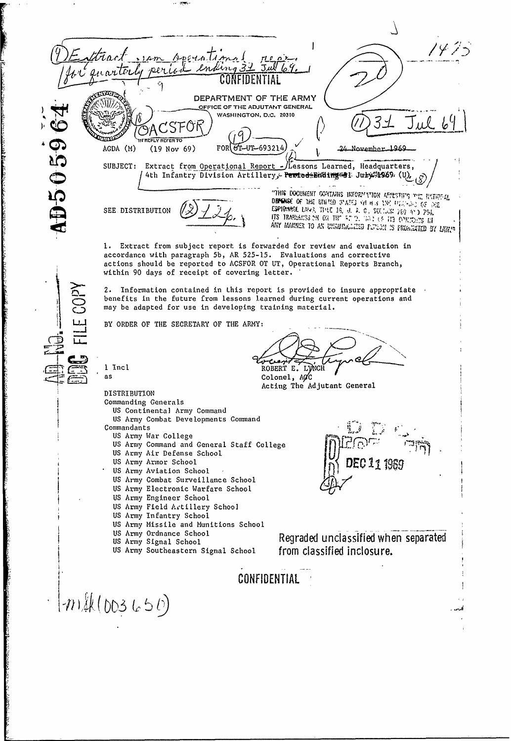$\overline{\phantom{a}}$ tract Aperation  $.14m$ quarter DEPARTMENT OF THE ARMY OFFICE OF THE ADJUTANT GENERAL WASHINGTON, D.C. 20310 Jul 69 D50596 , G **IN REPLY REFER TO** AGDA (M) FOR TL-UT-693214 November 1969  $(19 Nov 69)$ SUBJECT: Extract from Operational Report - Lessons Learned, Headquarters, 4th Infantry Division Artillery, PewtodeEnding @ 1 Juby 1969. (U), "THIS DOCUMENT CONTAINS INFORMATION AFFESTING THE RATIONAL DEMENSE OF THE UNITED STATES VALUE AND DECADED OF THE ESPIGNMENT LAWS. THINK IS, U. S. C., SKETLER 269 AND 794. SEE DISTRIBUTION ANY MANNER TO AN UNNURGAZED PUTSON IS FRIGABETED BY LARIN Extract from subject report is forwarded for review and evaluation in  $1.$ accordance with paragraph 5b, AR 525-15. Evaluations and corrective actions should be reported to ACSFOR OT UT, Operational Reports Branch, within 90 days of receipt of covering letter. 2. Information contained in this report is provided to insure appropriate benefits in the future from lessons learned during current operations and may be adapted for use in developing training material. BY ORDER OF THE SECRETARY OF THE ARMY: 1 Incl ROBERT E. LYNCH **AS** Colonel, ACC Acting The Adjutant General DISTRIBUTION Commanding Generals US Continental Army Command US Army Combat Developments Command Commandants US Army War College<br>US Army Command and General Staff College US Army Air Defense School DEC 11 1986 US Army Armor School US Army Aviation School US Army Combat Surveillance School US Army Electronic Warfare School US Army Engineer School US Army Field Artillery School US Army Infantry School US Army Missile and Munitions School US Army Ordnance School Regraded unclassified when separated US Army Signal School from classified inclosure. US Army Southeastern Signal School CONFIDENTIAL  $(m_{*}(003650))$ أدر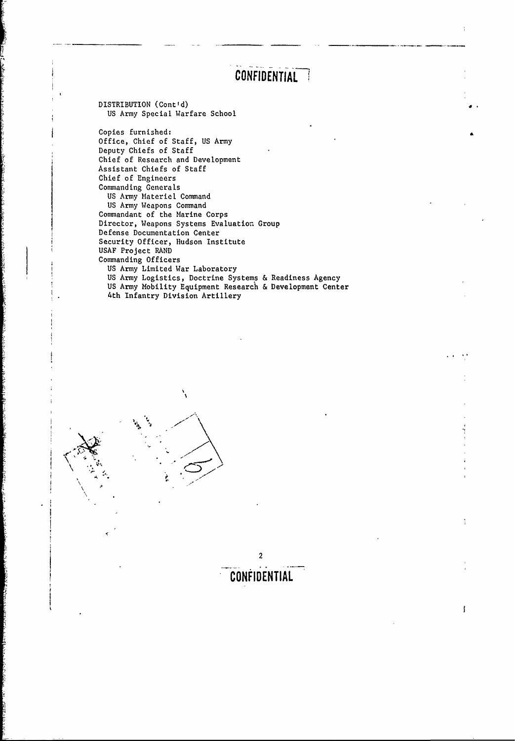# CONFIDENTIAL<sup>7</sup>

2

t

 $\pmb{\mathsf{j}}$ 

**CONFIDENTIAL**

DISTRIBUTION (Cont'd) US Army Special Warfare School

Copies furnished: Office, Chief of Staff, US Army Deputy Chiefs of Staff Chief of Research and Development Assistant Chiefs of Staff Chief of Engineers Commanding Generals US Army Materiel Command US Army Weapons Command Commandant of the Marine Corps Director, Weapons Systems Evaluation Group Defense Documentation Center Security Officer, Hudson Institute USAF Project RAND Commanding Officers US Army Limited War Laboratory US Army Logistics, Doctrine Systems & Readiness Agency US Army Mobility Equipment Research & Development Center 4th Infantry Division Artillery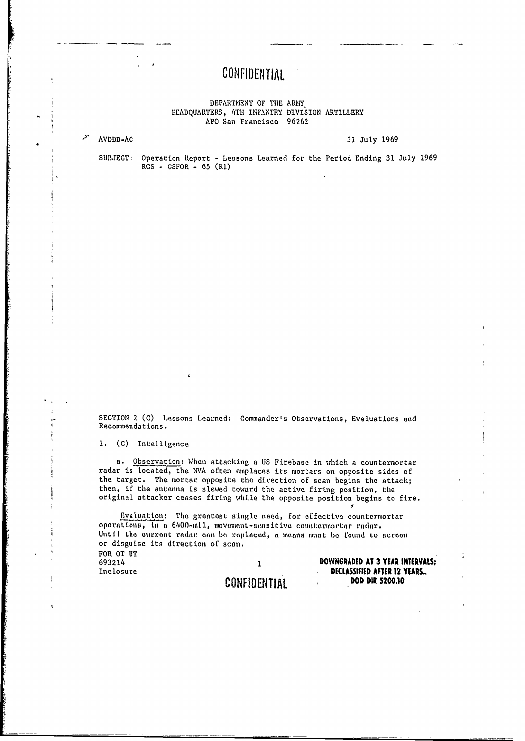#### DEPARTMENT OF THE ARMY HEADQUARTERS, 4TH INFANTRY DIVISION ARTILLERY APO San Francisco 96262

AVDDD-AC

31 July 1969

SUBJECT: Operation Report - Lessons Learned for the Period Ending 31 July 1969  $RCS - CSPOR - 65 (R1)$ 

SECTION 2 (C) Lessons Learned: Commander's Observations, Evaluations and Recommendations.

1. (C) Intelligence

a. Observation: When attacking a US Firebase in which a countermortar radar is located, the NVA often emplaces its mortars on opposite sides of the target. The mortar opposite the direction of scan begins the attack; then, if the antenna is slewed toward the active firing position, the original attacker ceases firing while the opposite position begins to fire.

Evaluation: The greatest single need, for effective countermortar operations, is a 6400-mil, movement-sensitive countermertar radar. Until the current radar can be replaced, a means must be found to screen or disguise its direction of scan. FOR OT UT

693214 Inclosure

 $\mathbf{1}$ CONFIDENTIAL DOWNGRADED AT 3 YEAR INTERVALS; DECLASSIFIED AFTER 12 YEARS... DOD DIR 5200.10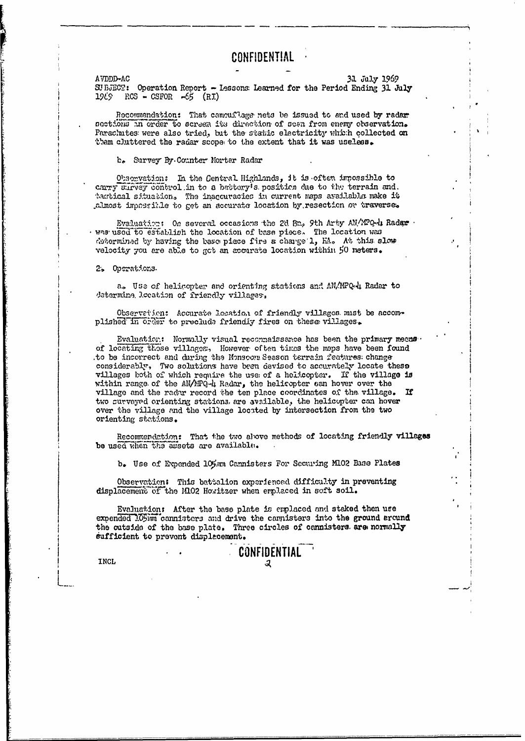AVDDD-AC **31 July 1969**<br>SUBJECT: Operation Report - Lessons Learned for the Period Ending 31 J Operation Report - Lessons Learned for the Period Ending 31 July  $1969$   $RCS - CSPOR -65$   $(RI)$ 

Recommendation: That camouflage nets be issued to and used by radar nactions in order to screax its direction of scan from enemy observation. Parachutes: were also tried, but the static electricity which collected on tham cluttered the radar scope to the extent that it was useless.

**b,** Survey, By. Conter Mortar Radar

Observation: In the Gentral Highlands, it is often impossible to carry Survey control in to a bactory's position due to the terrain and. tartical situation. The inaccuracies in current maps ayailable make it ... make it ... most impossible to get an accurate location by resection or traverse.

Evaluation: Oo several occasions the 2d Bn, 9th Arty AN/MPQ-4 Radaw was used to establish the location of base piece. The location was determinad by having the base piece fire a charge 1, KA. At this slow velocity you are able to got an accurate location within 50 meters.

**2'** Operat.ona.

a. Use of helicopter and orienting stations and AN/MPQ.4 Radar to determine. Jecation of friendly villages,

Observetien: Accurate location of friendly villages must be accomplished in order to preclude friendly fires on these villages.

Evaluation: Normally visual reconnaissance has been the primary means. of locating those villages. However of ten times the maps have been found to be incorrect and during the Monsoon Season terrain features: change considerably, Two solutions have been devised to accurately locate these villages both of which require the use of a helicopter. If the village is within range of the AN/MPQ-4 Radar, the helicopter can hover over the village and the rader record the ten place coordinates of the village. two surveyed orienting stations, are available, the helicopter can hover over the village and the village located by intersection from the two orienting stations.

Recommendation: That the two above methods of locating friendly villages be used when the assets are available.

**b.** Use of Expended 105mm Cannisters For Securing M102 Base Plates

Observation: This battalion experienced difficulty in preventing displacement of the 14102 Howitzer when ermlaced in soft soil.

Evaluation: After the base plate is emplaced and staked then use expended 105imm cannisters and drive the cannisters into the ground around the outside of the base plate. Three circles of cannisters. are normally sufficient to prevent displacement.

CONFIDENTIAL

**L INCLj**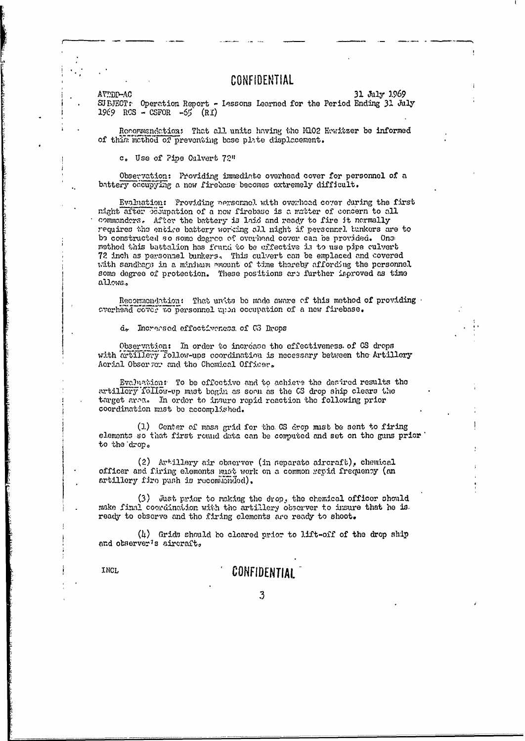AVEDD-AC

31 July 1969 SUEJECT: Operation Report - Lessons Learned for the Period Ending 31 July

Recommendation: That all units having the M102 Hawitzer be informed

c. Use of Pine Culvert 72"

of this method of preventing base plate displacement.

 $1969$  RCS - CSFOR -55  $(RI)$ 

Observation: Providing immediate overhead cover for personnel of a buttery occupying a new firebase becomes extremely difficult.

Evaluation: Providing nexsomel with overhead cover during the first night after proupation of a new firebase is a matter of concern to all commanders. After the battery is laid and ready to fire it nermally requires the entire battery working all night if personnel tunkers are to be constructed so some degree of overhead cover can be provided. One method this battalion has found to be effective is to use pipe culvert 72 inch as personnel bunkers. This culvert can be emplaced and covered with sandbars in a minimum emount of time thereby affording the personnel some degree of protection. These positions are further inproved as time allows.

Recommondation: That units be made aware of this method of providing overhead cover to personnel upon occupation of a new firebase.

d. Increased effectiveness of G3 Drops

Observation: In order to increase the effectiveness of CS drops with artillery follow-ups coordination is necessary between the Artillery Acrial Observer and the Chemical Officer.

Evaluation: To be effective and to achieve the desired results the artillery follow-up must begin as soon as the CS drop ship clears the target area. In order to insure rapid reaction the following prior coordination must be accomplished.

(1) Center of mass grid for the CS drop must be sent to firing elements so that first round data can be computed and set on the guns prior to the drop.

 $(2)$  Artillery air observer (in separate aircraft), chemical officer and firing elements must work on a common repid frequency (an artillery fire push is recommended).

(3) Just prior to making the drop, the chemical officer should make final coordination with the artillery observer to insure that he is. ready to observe and the firing elements are ready to shoot.

 $(4)$  Grids should be cleared prior to lift-off of the drop ship and observer's aircraft.

INCL

#### **CONFIDENTIAL**

3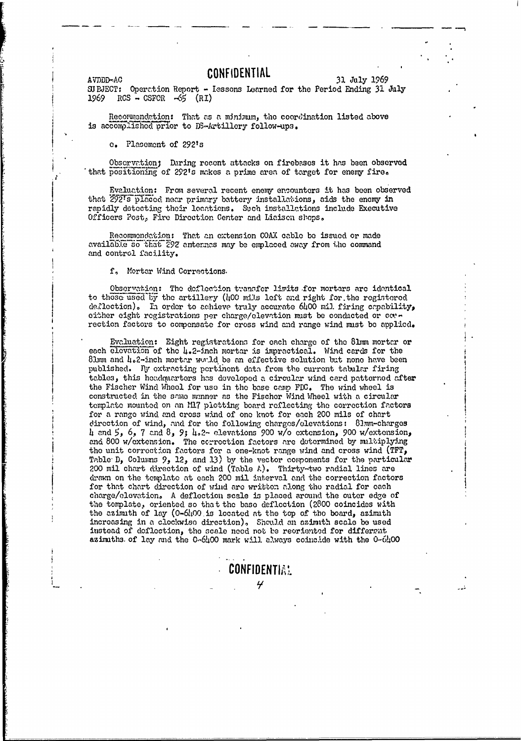#### **AVDDD-AC CONFIDENTIAL**

31 July 1969

SJBJECT: Operation Report - lessons Learned for the Period Ending **31** July *1969* RCS **C-** SFOR **-65 (RI)**

Recormendation: That as a minimum, the coordination listed above is accomplished prior to DS-Artillery follow-ups.

\* **e.** Placement of **292ts**

Obscrvation; During recent attacks on firebases it has been observed that positioning of 2921s makes a prime area of target for enemy fire,

Evaluation: From several recent enemy encounters it has been observed that 292's placed near primary battery installations, aids the enemy in rapidly detecting their locations. Such installations include Executive Officers Post, Fire Direction Center and Liaison shops.

Recommondation: That an extension COAX cable be issued or made available so that  $\tilde{z}$ 92 anternes may be emplaced away from the command and control facility.

**f,** Mortar Wind Corrections.

Observation: The deflection tvannfer limits for mortars are identical to those used **by** the artillery **(100** mi:Is left and right for.the registered de. lection). In order to achieve traly accurate 6400 mil. firing capability, either eight registrations per charge/elevation must be conducted or **ccv**rection factors to compensate for cross wind and range wind must be applied.

Evaluation: Eight registrations for each charge of the 81mm mortar or each elevation of the 4.2-inch mortar is impractical. Wind cards for the 81mm and  $\mu_{\circ}$ 2-inch mortar would be an effective solution but none have been published. **By** extracting pcrtinent data from the current tabular firing tables, this headquarters has developed a circular wind card patterned after the Fischer Wind Wheel for use in the base came FDC. The wind wheel is constructed in the same manner as the Fischer Wind Wheel with a circular template mounted on an M17 plotting board reflecting the correction factors for a range wind and cross wind of one knot for each 200 mils of chart cirction of wind, and for the following chargos/olevations: 8]mm-charges 4 and **5,** 6, 7 and 8, 9; 4.2- elevations 900 w/o extension, **900** w/extcnsion, and 800 w/extension. The correction factors are determined by multiplying the unit correction factors for a one-knot range wind and cross wind (TFT, Table  $D_2$ , Columns  $9$ , 12, and 13) by the vector components for the particular 200 mil chart d'rection of wind (Table A). Thirty-two radial lines are drawn on the template at each 200 mil interval and the correction factors for that chart direction of wind are written along the radial for each charge/elevation. A deflection scale is placed around the outer edge of the template, oriented so that the base deflection (2800 coincides with the azimuth of lay (0-6h00 is located at the top of the board, azimuth increasing in a clockwise direction), Should an azimith scale be used instead of deflection, the scale need not be reoriented for different azimuths. of lay and the 0-6400 mark will always coincide with the 0-6400

**CONFIDENTIA!**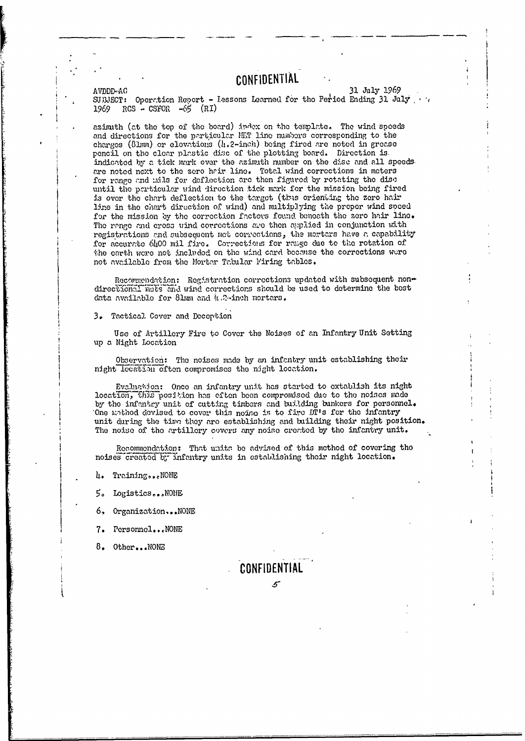31 July 1969 AVDDD-AC SUBJECT: Operation Report - Lessons Learned for the Period Ending 31 July  $RCS - CSPOR - 65 (RI)$ 1969

azimith (at the top of the board) index on the template. The wind speeds and directions for the particular MET line mumbers corresponding to the charges (81mm) or elevations (h.2-inch) being fired are noted in grease pencil on the clear plastic disc of the plotting board. Direction is. indicated by a tick mark over the azimith number on the disc and all speeds are noted next to the zero hair line. Total wind corrections in moters for range and mils for deflection are then figured by rotating the disc until the particular wind direction tick mark for the mission being fired is over the chart deflection to the target (thus orienting the zero hair line in the chart direction of wind) and multiplying the proper wind speed for the mission by the correction factors found beneath the zero hair line. The range and cross wind corrections are then applied in conjunction with registrations and subsequent met convections, the mortars have a capability for accurate 6400 mil fire. Corrections for range due to the rotation of the earth were not included on the wind card because the corrections were not available from the Mortar Tabular Firing tables.

Recommendation: Registration corrections updated with subsequent nondirectional mots and wind corrections should be used to determine the best data available for 81mm and 4.2-inch mortars.

3. Tactical Cover and Deception

Use of Artillery Fire to Cover the Noises of an Infantry Unit Setting up a Night Location

Observation: The noises made by an infantry unit establishing their night location often compromises the night location.

Evaluation: Once an infantry unit has started to extablish its night location, this position has eften been compromised due to the noises made by the infantry unit of cutting timbers and building bunkers for personnel. One mathod devised to cover this noing is to fire DT's for the infantry unit during the time they are establishing and building their night position. The noise of the artillery covers any noise created by the infantry unit.

Recommendation: That units be advised of this method of covering tho noises created by infantry units in establishing their night location.

4. Training...NONE

5. Logistics...NONE

6, Organization...NONE

7. Personnel... NONE

8. Other...NONE

CONFIDENTIAL  $\mathcal{L}$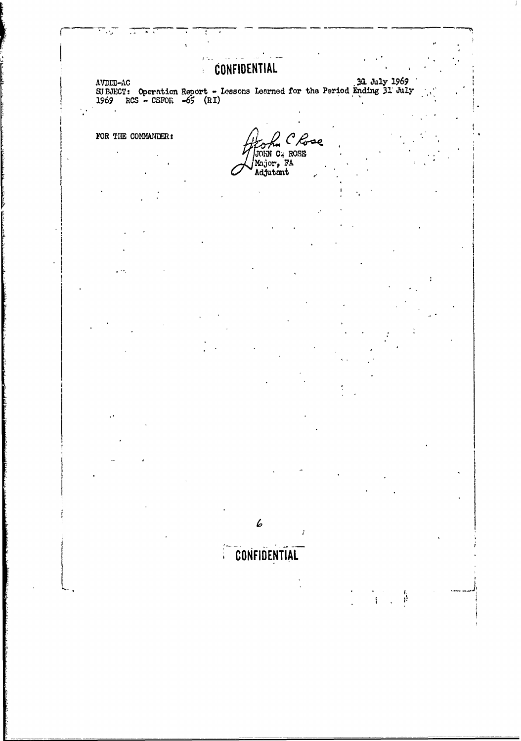#### **CONFIDENTIAL**  $\frac{1}{k}$  .

AVDED-AC<br>SUBJECT: Operation Report - Iessons Learned for the Period Ending 31 July<br>1969 RCS - CSFOR -65 (RI)

FOR THE COMMANDER:

 $\ddot{\phantom{a}}$ 

 $\mathcal{C}$ Bae JOIN C. ROSE Major, FA

î

有异

6

# CONFIDENTIAL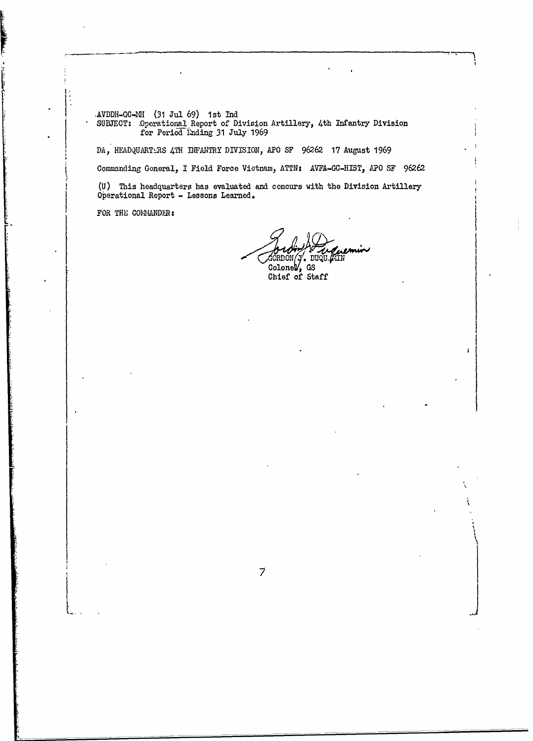AVDDH-GC-MH (31 Jul 69) 1st In **SUBJECT:** .perational Report of Division Artillery, 4th Infantry Division for Period tnding 31 July 1969

DA, HEADQUARTLRS 4TH INFANTRY DIVISION, APO SF 96262 17 August 1969

Commanding General, **I** Field Force Vietnam, ATTNs AVFA-GC-HIST, **APO** SF 96262

**(U)** This headquarters has evaluated and concurs with the Division Axtillery Operational Report - Lessons Learned.

 $\overline{7}$ 

FOR THE COMMANDER:

**Contract of Contract of Section** 

**L7**

. nu ColoneW, **NS** Chief of Staff

f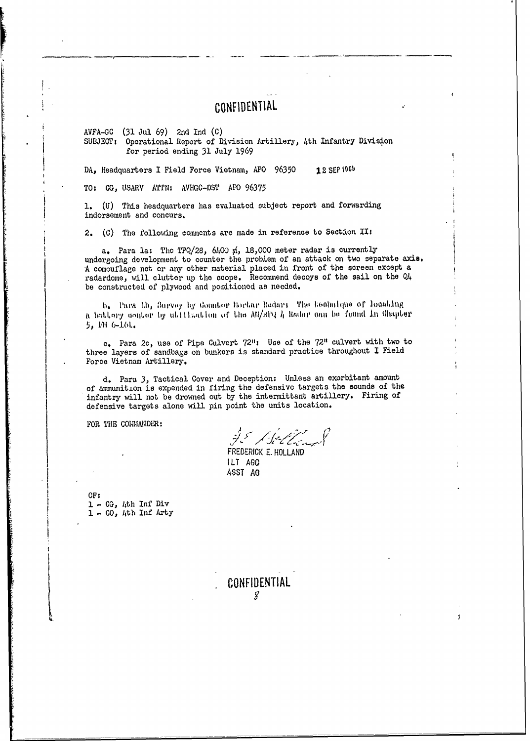$AVFA-GC$  (31 Jul 69) 2nd Ind (C) SUBJECT: Operational Report of Division Artillery, 4th Infantry Division for period ending 31 July 1969

DA, Headquarters I Field Force Vietnam, APO 96350 12 SEP 1969

TO: CG, USARV ATTN: AVHGC-DST APO 96375

1. (U) This headquarters has evaluated subject report and forwarding indorsement and concurs.

2. (C) The following comments are made in reference to Section II:

a. Para la: The TPQ/28, 6400 m, 18,000 meter radar is currently undergoing development to counter the problem of an attack on two separate axis. A comouflage net or any other material placed in front of the screen except a radardome, will clutter up the scope. Recommend decoys of the sail on the Q4 be constructed of plywood and positioned as needed.

b. Para 1b, Survey by Counter Bortar Radars The beolinique of locating a battory coutor by attituation of the All/HP2 h Badar can be found in Chapter 5, PH 6-161.

c. Para 2c, use of Pipe Culvert 72": Use of the 72" culvert with two to three layers of sandbags on bunkers is standard practice throughout I Field Force Vietnam Artillery.

d. Para 3, Tactical Cover and Deception: Unless an exorbitant amount of ammunition is expended in firing the defensive targets the sounds of the infantry will not be drowned out by the intermittant artillery. Firing of defensive targets alone will pin point the units location.

FOR THE COLMANDER:

ge Belland

FREDERICK E. HOLLAND ILT AGO ASST AG

 $CF:$  $1 - CG$ , 4th Inf Div  $1 - 00$ , 4th Inf Arty

#### CONFIDENTIAL 8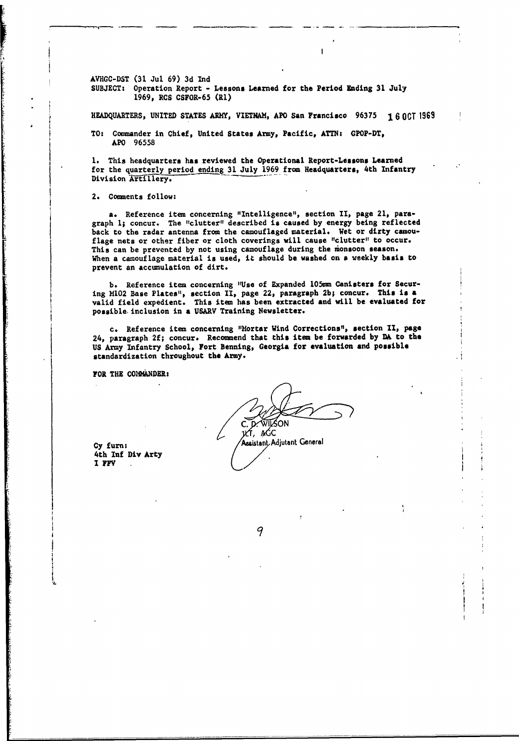**AVHGC-DST (31** Jul **69) 3d Ind SUBJECT:** Operation Report **-** Lessons Learned for the Period Ending **31** July 1969, RCS CSFOR-65 **(RI)**

**HEADQUARTERS, UNITED STATES ARM, VIETNAM,** APO San Francisco **96375** 1 **6** OCT **<sup>1969</sup>**

TO: Commander in Chief, United States **Army,** Pacific, **ATTN:** GPOP-DT, APO 96558

**1.** This headquarters has reviewed the Operational Report-Lessons Learned for the quarterly period ending **31** July 1969 from Headquarters, 4th Infantry Division Artillery.

2. Comments follow:

a. Reference item concerning "Intelligence", section II, page 21, paragraph **1;** concur. The "clutter" described is caused **by** energy being reflected back to the radar antenna from the camouflaged material. Wet or dirty camouflage nets or other fiber or cloth coverings will cause "clutter" to occur. This can be prevented **by** not using camouflage during the monsoon season. When a camouflage material is used, it should be washed on **a** weekly basis **to** prevent an accunulation of dirt.

**b.** Reference item concerning "Use of Expanded **105mm** Canisters for Securing H102 Base Plates", section II, page 22, paragraph **2b;** concur. **This** is **a** valid field expedient. This item has been extracted **and** will **be** evaluated for possible, inclusion in a USARV Training Newsletter.

c. Reference item concerning "Mortar Wind Corrections", section **II,** page 24, paragraph **2f;** concur. Recommend that this item be **forwarded by DA** to **the US** Army Infantry School, Fort Benning, Georgia for evaluation **and possible** standardization throughout the Army.

FOR THE **COMMANDER:**

**D. WILSON**  $\overline{u}$ ,  $\overline{u}$ ,  $\overline{u}$ Cy furn: Assistant Adjutant General

4th **lnf** Div Arty **I** FFY

9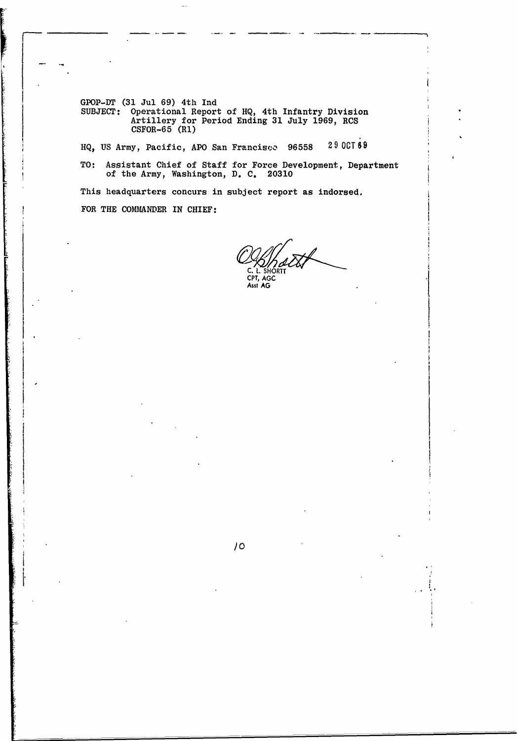GPOP-DT **(31** Jul **69)** 4th **Ind** SUBJECT: Operational Report of **HQ,** 4th Infantry Division Artillery for Period Ending **31** July **1969,** RCS **CSFOR-65** (Rl)

**HQ, US** Army, Pacific, APO San Francisco **96558 29 OCT69**

TO: Assistant Chief of Staff for Force Development, Department of the Army, Washington, **D. C. 20310**

**/o**

This headquarters concurs in subject report as indorsed. FOR THE COMMANDER IN CHIEF:

**C.** L. **SHORT** CPT, **AGC** Asst **AG**

**I**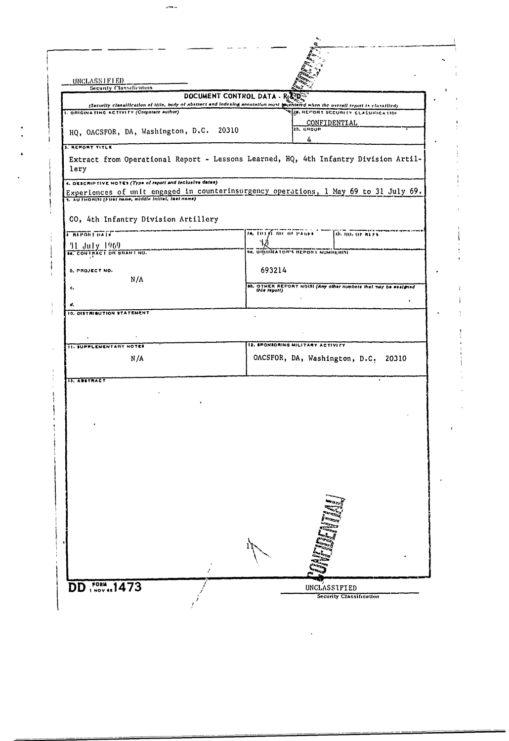| UNCLASSIFIED<br><b>Security Classification</b>             |                                                                                                                                                                        |
|------------------------------------------------------------|------------------------------------------------------------------------------------------------------------------------------------------------------------------------|
|                                                            | DOCUMENT CONTROL DATA -                                                                                                                                                |
| 1. ORIGINATING ACTIVITY (Corporate author)                 | (Security classification of title, body of abstract and indexing annotation must membered when the overall report is classified)<br>ZR. REPORT SECURITY CLASSIFICATION |
|                                                            | CONFIDENTIAL                                                                                                                                                           |
| HQ, OACSFOR, DA, Washington, D.C. 20310                    | 2b. GROUP<br>4                                                                                                                                                         |
| <b>3. REPORT TITLE</b>                                     |                                                                                                                                                                        |
| lery                                                       | Extract from Operational Report - Lessons Learned, HQ, 4th Infantry Division Artil-                                                                                    |
| 4. DESCRIP TIVE NOTES (Type of report and inclusive dates) |                                                                                                                                                                        |
| 5. AUTHORISI (Firet name, middle initial, last name)       | Experiences of unit engaged in counterinsurgency operations, 1 May 69 to 31 July 69.                                                                                   |
|                                                            |                                                                                                                                                                        |
| CO, 4th Infantry Division Artillery                        |                                                                                                                                                                        |
| <b>TREPORT ON IN</b>                                       | 70, 1013) NO OF PAGES<br>The HOT OF REES                                                                                                                               |
|                                                            |                                                                                                                                                                        |
| 11 July 1969<br><b>18.</b> CONTRACT ON GRANS NO.           | <b>SH. OTHOINATOR'S REPORT NUMBER(S)</b>                                                                                                                               |
| 5. PROJECT NO.                                             | 693214                                                                                                                                                                 |
| N/A                                                        |                                                                                                                                                                        |
| c.                                                         | ab. OTHER REPORT NOISI (Any other numbers that may be essigned this report)                                                                                            |
| d.                                                         |                                                                                                                                                                        |
| 10. DISTRIBUTION STATEMENT                                 |                                                                                                                                                                        |
|                                                            |                                                                                                                                                                        |
|                                                            |                                                                                                                                                                        |
| <b>11. SUPPLEMENTARY NOTES</b>                             | 12. SPONSORING MILITARY ACTIVITY                                                                                                                                       |
| N/A                                                        | OACSFOR, DA, Washington, D.C.<br>20310                                                                                                                                 |
|                                                            |                                                                                                                                                                        |
| <b>IS. ABSTRACT</b>                                        |                                                                                                                                                                        |
|                                                            |                                                                                                                                                                        |
|                                                            |                                                                                                                                                                        |
|                                                            |                                                                                                                                                                        |
|                                                            |                                                                                                                                                                        |
|                                                            |                                                                                                                                                                        |
|                                                            |                                                                                                                                                                        |
|                                                            |                                                                                                                                                                        |
|                                                            |                                                                                                                                                                        |
|                                                            |                                                                                                                                                                        |
|                                                            |                                                                                                                                                                        |
|                                                            |                                                                                                                                                                        |
|                                                            |                                                                                                                                                                        |
|                                                            |                                                                                                                                                                        |
|                                                            |                                                                                                                                                                        |
|                                                            |                                                                                                                                                                        |
|                                                            |                                                                                                                                                                        |
|                                                            |                                                                                                                                                                        |
| <b>DD</b> FORM 1473                                        | UNCLASSIFIED                                                                                                                                                           |

 $\hat{\mathbf{v}}$ 

 $\frac{4}{1}$ 

 $\mathbf i$ 

 $\ddot{\phantom{0}}$